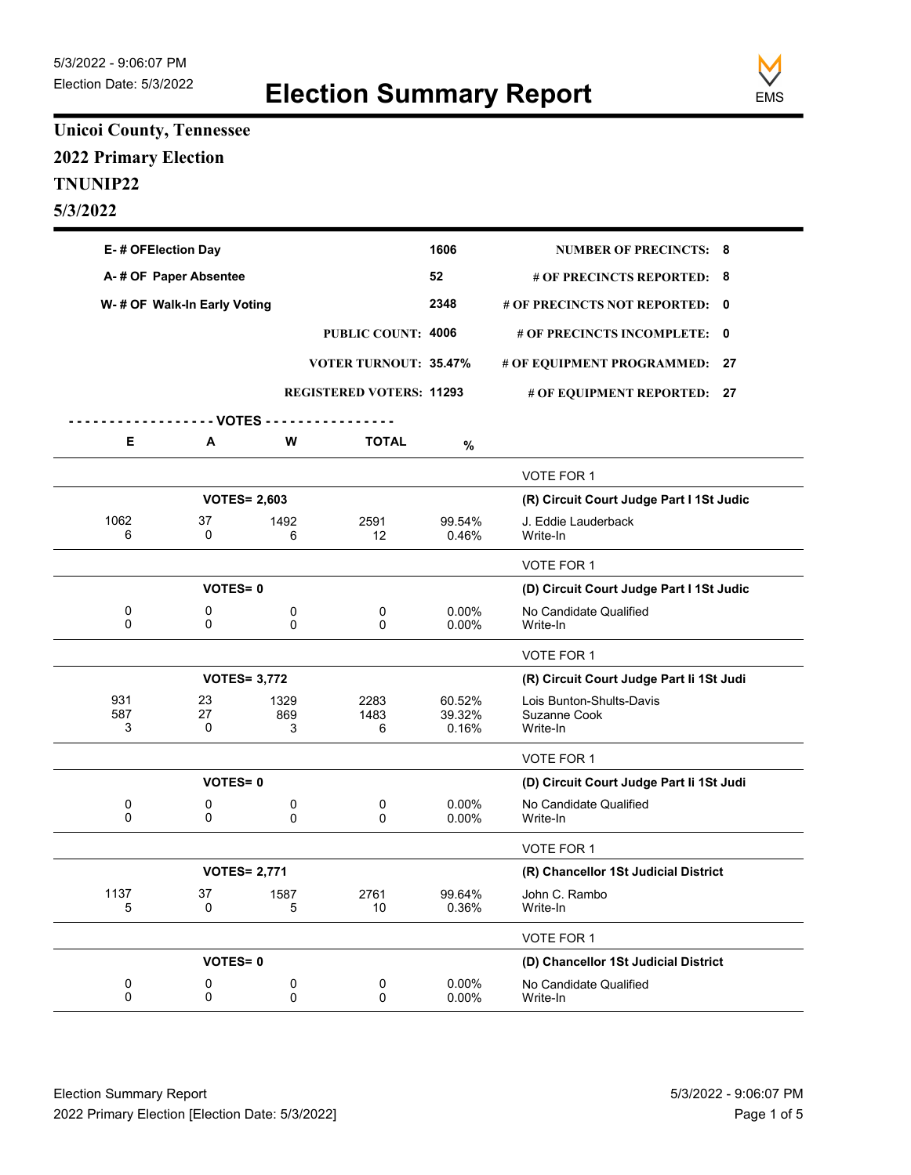

## **Unicoi County, Tennessee 2022 Primary Election TNUNIP22 5/3/2022**

| E-# OFElection Day          |                |                     |                                 | 1606              | <b>NUMBER OF PRECINCTS: 8</b>            |  |
|-----------------------------|----------------|---------------------|---------------------------------|-------------------|------------------------------------------|--|
| A-# OF Paper Absentee       |                |                     |                                 | 52                | # OF PRECINCTS REPORTED: 8               |  |
| W-# OF Walk-In Early Voting |                |                     |                                 | 2348              | # OF PRECINCTS NOT REPORTED: 0           |  |
|                             |                |                     | PUBLIC COUNT: 4006              |                   | # OF PRECINCTS INCOMPLETE: 0             |  |
|                             |                |                     | <b>VOTER TURNOUT: 35.47%</b>    |                   | # OF EQUIPMENT PROGRAMMED: 27            |  |
|                             |                |                     | <b>REGISTERED VOTERS: 11293</b> |                   |                                          |  |
|                             |                |                     |                                 |                   | # OF EQUIPMENT REPORTED: 27              |  |
| Е                           | - VOTES -<br>Α | W                   | <b>TOTAL</b>                    |                   |                                          |  |
|                             |                |                     |                                 | %                 |                                          |  |
|                             |                |                     |                                 |                   | VOTE FOR 1                               |  |
|                             |                | <b>VOTES= 2,603</b> |                                 |                   | (R) Circuit Court Judge Part I 1St Judic |  |
| 1062<br>6                   | 37<br>0        | 1492<br>6           | 2591<br>12                      | 99.54%<br>0.46%   | J. Eddie Lauderback<br>Write-In          |  |
|                             |                |                     |                                 |                   | VOTE FOR 1                               |  |
|                             | <b>VOTES=0</b> |                     |                                 |                   | (D) Circuit Court Judge Part I 1St Judic |  |
| 0<br>0                      | 0<br>0         | 0<br>0              | 0<br>$\mathbf{0}$               | 0.00%<br>0.00%    | No Candidate Qualified<br>Write-In       |  |
|                             |                |                     |                                 |                   | <b>VOTE FOR 1</b>                        |  |
|                             |                | <b>VOTES= 3,772</b> |                                 |                   | (R) Circuit Court Judge Part li 1St Judi |  |
| 931<br>587                  | 23<br>27       | 1329<br>869         | 2283<br>1483                    | 60.52%<br>39.32%  | Lois Bunton-Shults-Davis<br>Suzanne Cook |  |
| 3                           | 0              | 3                   | 6                               | 0.16%             | Write-In                                 |  |
|                             |                |                     |                                 |                   | VOTE FOR 1                               |  |
|                             | <b>VOTES=0</b> |                     |                                 |                   | (D) Circuit Court Judge Part li 1St Judi |  |
| 0<br>$\Omega$               | 0<br>0         | 0<br>$\Omega$       | 0<br>$\mathbf{0}$               | $0.00\%$<br>0.00% | No Candidate Qualified<br>Write-In       |  |
|                             |                |                     |                                 |                   | VOTE FOR 1                               |  |
|                             |                | <b>VOTES= 2,771</b> |                                 |                   | (R) Chancellor 1St Judicial District     |  |
| 1137<br>5                   | 37<br>0        | 1587<br>5           | 2761<br>10                      | 99.64%<br>0.36%   | John C. Rambo<br>Write-In                |  |
|                             |                |                     |                                 |                   | VOTE FOR 1                               |  |
|                             | <b>VOTES=0</b> |                     |                                 |                   | (D) Chancellor 1St Judicial District     |  |
| 0<br>0                      | 0<br>0         | 0<br>0              | 0<br>0                          | 0.00%<br>0.00%    | No Candidate Qualified<br>Write-In       |  |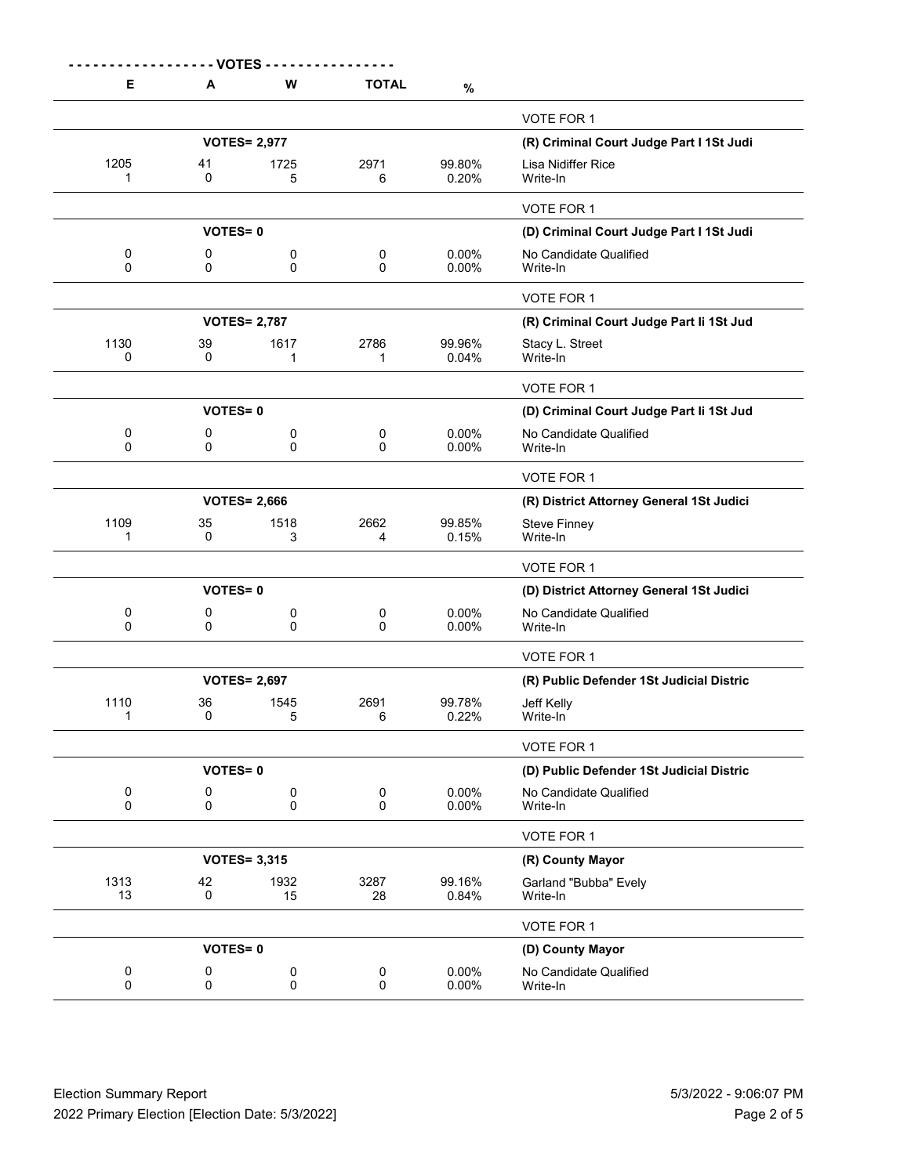| Е                        | A                | W                   | <b>TOTAL</b>           | $\%$            |                                          |
|--------------------------|------------------|---------------------|------------------------|-----------------|------------------------------------------|
|                          |                  |                     |                        |                 | <b>VOTE FOR 1</b>                        |
|                          |                  | <b>VOTES= 2,977</b> |                        |                 | (R) Criminal Court Judge Part I 1St Judi |
| 1205<br>1                | 41<br>0          | 1725<br>5           | 2971<br>6              | 99.80%<br>0.20% | Lisa Nidiffer Rice<br>Write-In           |
|                          |                  |                     |                        |                 | VOTE FOR 1                               |
|                          | <b>VOTES=0</b>   |                     |                        |                 | (D) Criminal Court Judge Part I 1St Judi |
| 0<br>$\Omega$            | 0<br>0           | 0<br>$\Omega$       | 0<br>$\Omega$          | 0.00%<br>0.00%  | No Candidate Qualified<br>Write-In       |
|                          |                  |                     |                        |                 | VOTE FOR 1                               |
|                          |                  | <b>VOTES= 2,787</b> |                        |                 | (R) Criminal Court Judge Part li 1St Jud |
| 1130<br>$\Omega$         | 39<br>0          | 1617<br>1           | 2786<br>1              | 99.96%<br>0.04% | Stacy L. Street<br>Write-In              |
|                          |                  |                     |                        |                 | VOTE FOR 1                               |
|                          | <b>VOTES=0</b>   |                     |                        |                 | (D) Criminal Court Judge Part li 1St Jud |
| 0<br>$\Omega$            | 0<br>$\Omega$    | 0<br>$\Omega$       | 0<br>$\Omega$          | 0.00%<br>0.00%  | No Candidate Qualified<br>Write-In       |
|                          |                  |                     |                        |                 | VOTE FOR 1                               |
|                          |                  | <b>VOTES= 2,666</b> |                        |                 | (R) District Attorney General 1St Judici |
| 1109<br>1                | 35<br>0          | 1518<br>3           | 2662<br>4              | 99.85%<br>0.15% | <b>Steve Finney</b><br>Write-In          |
|                          |                  |                     |                        |                 | VOTE FOR 1                               |
|                          | <b>VOTES=0</b>   |                     |                        |                 | (D) District Attorney General 1St Judici |
| 0<br>$\mathbf 0$         | 0<br>0           | 0<br>0              | 0<br>0                 | 0.00%<br>0.00%  | No Candidate Qualified<br>Write-In       |
|                          |                  |                     |                        |                 | VOTE FOR 1                               |
|                          |                  | <b>VOTES= 2,697</b> |                        |                 | (R) Public Defender 1St Judicial Distric |
| 1110<br>1                | 36<br>0          | 1545<br>5           | 2691<br>6              | 99.78%<br>0.22% | Jeff Kelly<br>Write-In                   |
|                          |                  |                     |                        |                 | VOTE FOR 1                               |
|                          | <b>VOTES=0</b>   |                     |                        |                 | (D) Public Defender 1St Judicial Distric |
| $\pmb{0}$<br>$\mathbf 0$ | 0<br>$\mathbf 0$ | $\pmb{0}$<br>0      | $\pmb{0}$<br>$\pmb{0}$ | 0.00%<br>0.00%  | No Candidate Qualified<br>Write-In       |
|                          |                  |                     |                        |                 | VOTE FOR 1                               |
|                          |                  | <b>VOTES= 3,315</b> |                        |                 | (R) County Mayor                         |
| 1313<br>13               | 42<br>$\pmb{0}$  | 1932<br>15          | 3287<br>28             | 99.16%<br>0.84% | Garland "Bubba" Evely<br>Write-In        |

| 1313<br>13 | 42             | 1932<br>15 | 3287<br>28 | 99.16%<br>0.84%      | Garland "Bubba" Evely<br>Write-In  |  |
|------------|----------------|------------|------------|----------------------|------------------------------------|--|
|            |                |            |            |                      | VOTE FOR 1                         |  |
|            | <b>VOTES=0</b> |            |            |                      | (D) County Mayor                   |  |
|            |                |            |            | $0.00\%$<br>$0.00\%$ | No Candidate Qualified<br>Write-In |  |
|            |                |            |            |                      |                                    |  |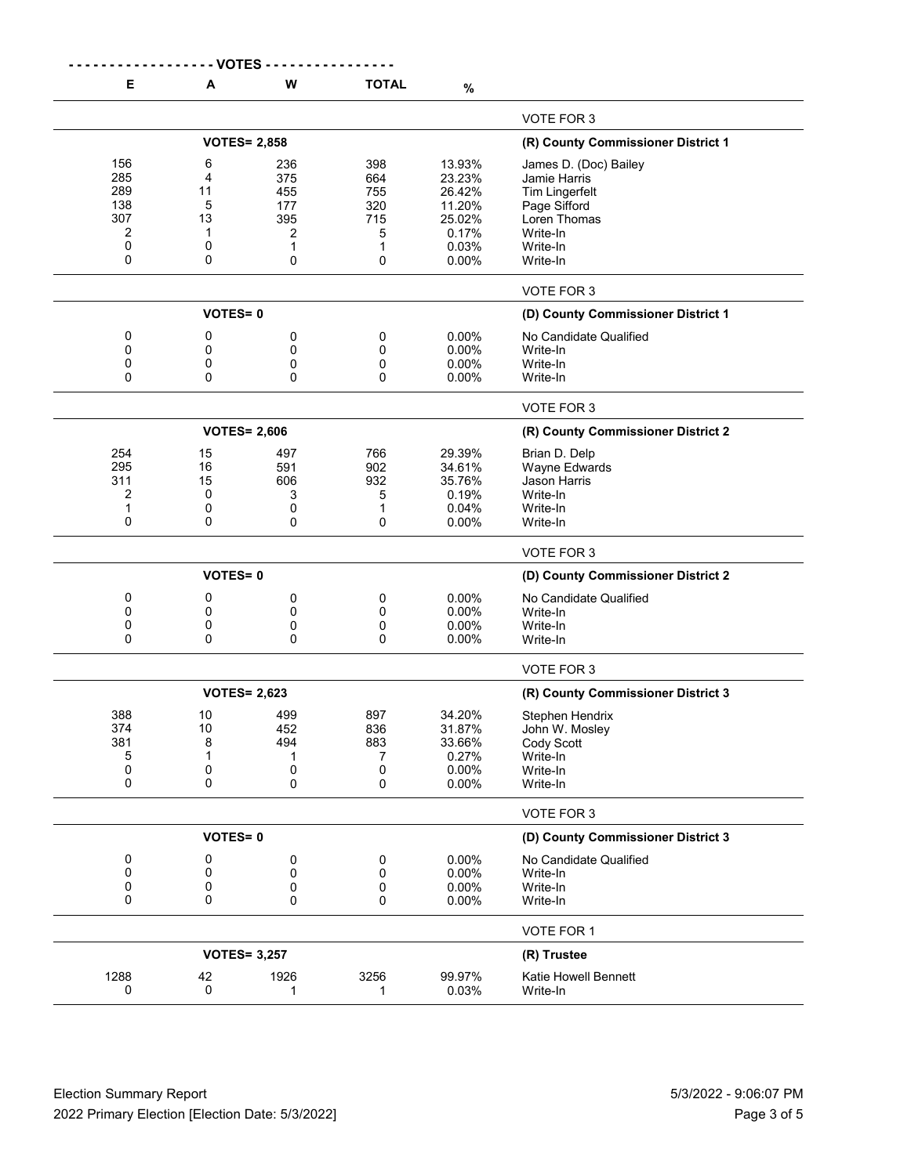|      | -- VOTES       |                     |              |                 |                                    |
|------|----------------|---------------------|--------------|-----------------|------------------------------------|
| Е    | A              | W                   | <b>TOTAL</b> | $\%$            |                                    |
|      |                |                     |              |                 | VOTE FOR 3                         |
|      |                | <b>VOTES= 2,858</b> |              |                 | (R) County Commissioner District 1 |
| 156  | 6              | 236                 | 398          | 13.93%          | James D. (Doc) Bailey              |
| 285  | 4              | 375                 | 664          | 23.23%          | Jamie Harris                       |
| 289  | 11             | 455                 | 755          | 26.42%          |                                    |
| 138  | 5              | 177                 | 320          | 11.20%          | <b>Tim Lingerfelt</b>              |
| 307  | 13             |                     |              |                 | Page Sifford                       |
| 2    | -1             | 395                 | 715          | 25.02%<br>0.17% | Loren Thomas                       |
|      |                | 2                   | 5            |                 | Write-In                           |
| 0    | 0              | 1                   | 1            | 0.03%           | Write-In                           |
| 0    | 0              | 0                   | 0            | 0.00%           | Write-In                           |
|      |                |                     |              |                 | VOTE FOR 3                         |
|      | <b>VOTES=0</b> |                     |              |                 | (D) County Commissioner District 1 |
| 0    | 0              | 0                   | 0            | 0.00%           | No Candidate Qualified             |
| 0    | 0              | 0                   | 0            | 0.00%           | Write-In                           |
| 0    | 0              | 0                   | 0            | $0.00\%$        | Write-In                           |
| 0    | 0              | 0                   | 0            | 0.00%           | Write-In                           |
|      |                |                     |              |                 |                                    |
|      |                |                     |              |                 | VOTE FOR 3                         |
|      |                | <b>VOTES= 2,606</b> |              |                 | (R) County Commissioner District 2 |
| 254  | 15             | 497                 | 766          | 29.39%          | Brian D. Delp                      |
| 295  | 16             | 591                 | 902          | 34.61%          | Wayne Edwards                      |
| 311  | 15             | 606                 | 932          | 35.76%          | Jason Harris                       |
| 2    | 0              | 3                   | 5            | 0.19%           | Write-In                           |
| 1    | 0              | 0                   | 1            | 0.04%           | Write-In                           |
| 0    | 0              | 0                   | 0            | $0.00\%$        | Write-In                           |
|      |                |                     |              |                 | VOTE FOR 3                         |
|      | <b>VOTES=0</b> |                     |              |                 | (D) County Commissioner District 2 |
| 0    | 0              | 0                   | 0            | 0.00%           | No Candidate Qualified             |
| 0    | 0              | 0                   | 0            | 0.00%           | Write-In                           |
| 0    | 0              | 0                   | 0            | 0.00%           | Write-In                           |
| 0    | 0              | 0                   | $\Omega$     | 0.00%           | Write-In                           |
|      |                |                     |              |                 | VOTE FOR 3                         |
|      |                | <b>VOTES= 2,623</b> |              |                 | (R) County Commissioner District 3 |
| 388  |                |                     |              |                 |                                    |
|      | 10             | 499                 | 897          | 34.20%          | Stephen Hendrix                    |
| 374  | 10             | 452                 | 836          | 31.87%          | John W. Mosley                     |
| 381  | 8              | 494                 | 883          | 33.66%          | Cody Scott                         |
| 5    | 1              | 1                   | 7            | 0.27%           | Write-In                           |
| 0    | 0              | 0                   | 0            | 0.00%           | Write-In                           |
| 0    | 0              | 0                   | 0            | 0.00%           | Write-In                           |
|      |                |                     |              |                 | VOTE FOR 3                         |
|      | <b>VOTES=0</b> |                     |              |                 | (D) County Commissioner District 3 |
| 0    | 0              | 0                   | 0            | 0.00%           | No Candidate Qualified             |
| 0    | 0              | 0                   | 0            | 0.00%           | Write-In                           |
| 0    | 0              | 0                   | 0            | 0.00%           | Write-In                           |
| 0    | 0              | 0                   | 0            | 0.00%           | Write-In                           |
|      |                |                     |              |                 | VOTE FOR 1                         |
|      |                | <b>VOTES= 3,257</b> |              |                 | (R) Trustee                        |
| 1288 | 42             | 1926                | 3256         | 99.97%          | Katie Howell Bennett               |
| 0    | 0              | 1                   | 1            | 0.03%           | Write-In                           |
|      |                |                     |              |                 |                                    |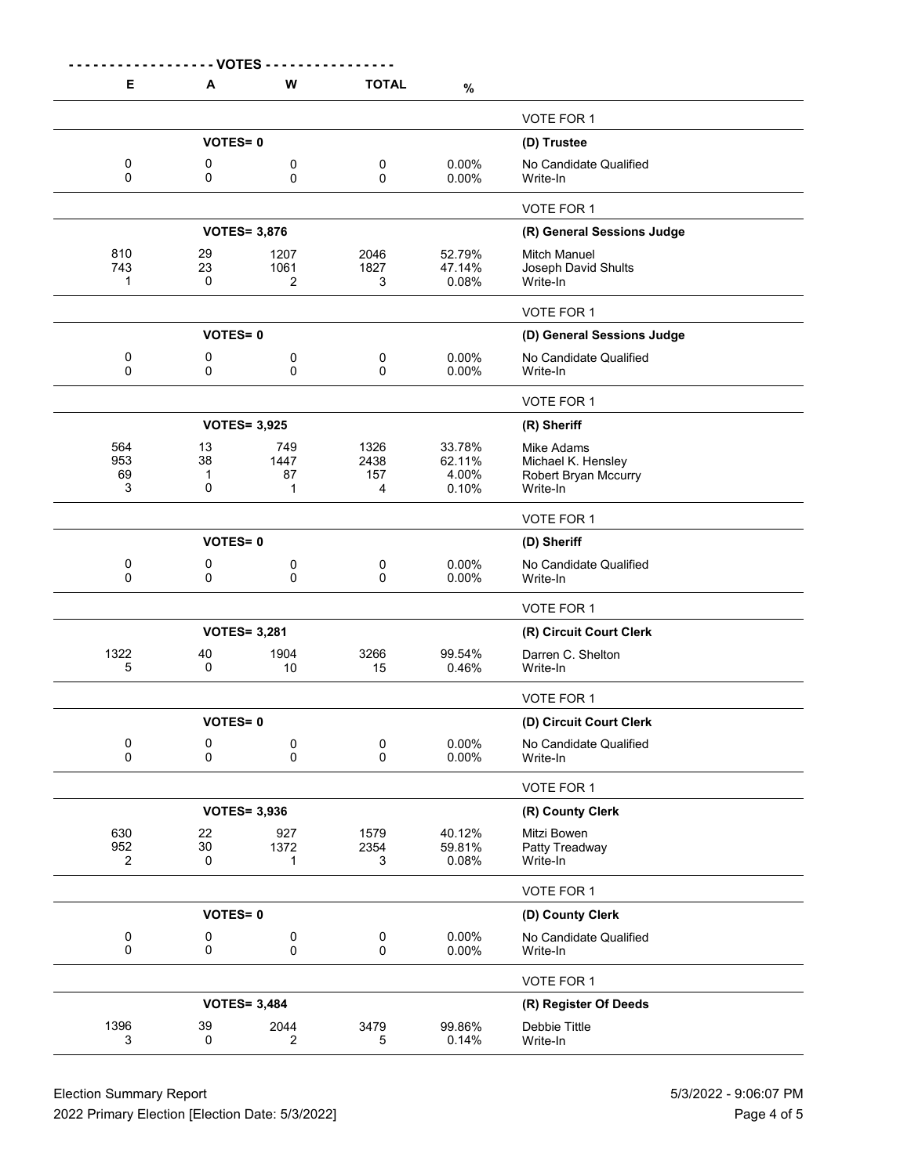|                              | - VOTES                                 |                        |                          |                                       |                                                                      |
|------------------------------|-----------------------------------------|------------------------|--------------------------|---------------------------------------|----------------------------------------------------------------------|
| Е                            | A                                       | W                      | <b>TOTAL</b>             | $\%$                                  |                                                                      |
|                              |                                         |                        |                          |                                       | VOTE FOR 1                                                           |
|                              | <b>VOTES=0</b>                          |                        |                          |                                       | (D) Trustee                                                          |
| 0<br>$\Omega$                | 0<br>0                                  | 0<br>0                 | 0<br>0                   | 0.00%<br>0.00%                        | No Candidate Qualified<br>Write-In                                   |
|                              |                                         |                        |                          |                                       | VOTE FOR 1                                                           |
|                              |                                         | <b>VOTES= 3,876</b>    |                          |                                       | (R) General Sessions Judge                                           |
| 810<br>743<br>1              | 29<br>23<br>0                           | 1207<br>1061<br>2      | 2046<br>1827<br>3        | 52.79%<br>47.14%<br>0.08%             | <b>Mitch Manuel</b><br>Joseph David Shults<br>Write-In               |
|                              |                                         |                        |                          |                                       | VOTE FOR 1                                                           |
|                              | <b>VOTES=0</b>                          |                        |                          |                                       | (D) General Sessions Judge                                           |
| 0<br>0                       | 0<br>0                                  | 0<br>0                 | $\pmb{0}$<br>0           | 0.00%<br>0.00%                        | No Candidate Qualified<br>Write-In                                   |
|                              |                                         |                        |                          |                                       | VOTE FOR 1                                                           |
|                              |                                         | <b>VOTES= 3,925</b>    |                          |                                       | (R) Sheriff                                                          |
| 564<br>953<br>69<br>3        | 13<br>38<br>$\mathbf{1}$<br>$\mathbf 0$ | 749<br>1447<br>87<br>1 | 1326<br>2438<br>157<br>4 | 33.78%<br>62.11%<br>4.00%<br>$0.10\%$ | Mike Adams<br>Michael K. Hensley<br>Robert Bryan Mccurry<br>Write-In |
|                              |                                         |                        |                          |                                       | VOTE FOR 1                                                           |
|                              | <b>VOTES=0</b>                          |                        |                          |                                       | (D) Sheriff                                                          |
| 0<br>0                       | 0<br>0                                  | 0<br>0                 | 0<br>0                   | 0.00%<br>$0.00\%$                     | No Candidate Qualified<br>Write-In                                   |
|                              |                                         |                        |                          |                                       | VOTE FOR 1                                                           |
|                              |                                         | <b>VOTES= 3,281</b>    |                          |                                       | (R) Circuit Court Clerk                                              |
| 1322<br>5                    | 40<br>0                                 | 1904<br>10             | 3266<br>15               | 99.54%<br>0.46%                       | Darren C. Shelton<br>Write-In                                        |
|                              |                                         |                        |                          |                                       | VOTE FOR 1                                                           |
|                              | <b>VOTES=0</b>                          |                        |                          |                                       | (D) Circuit Court Clerk                                              |
| 0<br>$\Omega$                | 0<br>$\Omega$                           | 0<br>$\Omega$          | 0<br>$\Omega$            | $0.00\%$<br>$0.00\%$                  | No Candidate Qualified<br>Write-In                                   |
|                              |                                         |                        |                          |                                       | VOTE FOR 1                                                           |
|                              |                                         | <b>VOTES= 3,936</b>    |                          |                                       | (R) County Clerk                                                     |
| 630<br>952<br>$\overline{2}$ | 22<br>30<br>0                           | 927<br>1372<br>1       | 1579<br>2354<br>3        | 40.12%<br>59.81%<br>0.08%             | Mitzi Bowen<br>Patty Treadway<br>Write-In                            |
|                              |                                         |                        |                          |                                       | VOTE FOR 1                                                           |
|                              | <b>VOTES=0</b>                          |                        |                          |                                       | (D) County Clerk                                                     |
| 0<br>$\pmb{0}$               | 0<br>$\pmb{0}$                          | 0<br>$\pmb{0}$         | 0<br>$\mathbf 0$         | $0.00\%$<br>0.00%                     | No Candidate Qualified<br>Write-In                                   |
|                              |                                         |                        |                          |                                       | VOTE FOR 1                                                           |
|                              |                                         | <b>VOTES= 3,484</b>    |                          |                                       | (R) Register Of Deeds                                                |
| 1396<br>3                    | 39<br>0                                 | 2044<br>2              | 3479<br>5                | 99.86%<br>0.14%                       | Debbie Tittle<br>Write-In                                            |